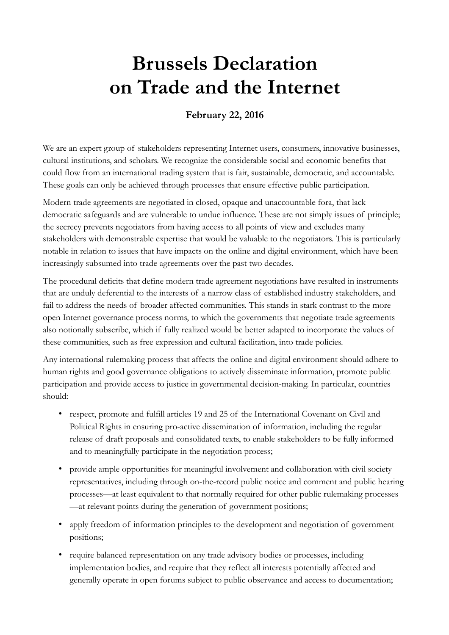## **Brussels Declaration on Trade and the Internet**

## **February 22, 2016**

We are an expert group of stakeholders representing Internet users, consumers, innovative businesses, cultural institutions, and scholars. We recognize the considerable social and economic benefits that could flow from an international trading system that is fair, sustainable, democratic, and accountable. These goals can only be achieved through processes that ensure effective public participation.

Modern trade agreements are negotiated in closed, opaque and unaccountable fora, that lack democratic safeguards and are vulnerable to undue influence. These are not simply issues of principle; the secrecy prevents negotiators from having access to all points of view and excludes many stakeholders with demonstrable expertise that would be valuable to the negotiators. This is particularly notable in relation to issues that have impacts on the online and digital environment, which have been increasingly subsumed into trade agreements over the past two decades.

The procedural deficits that define modern trade agreement negotiations have resulted in instruments that are unduly deferential to the interests of a narrow class of established industry stakeholders, and fail to address the needs of broader affected communities. This stands in stark contrast to the more open Internet governance process norms, to which the governments that negotiate trade agreements also notionally subscribe, which if fully realized would be better adapted to incorporate the values of these communities, such as free expression and cultural facilitation, into trade policies.

Any international rulemaking process that affects the online and digital environment should adhere to human rights and good governance obligations to actively disseminate information, promote public participation and provide access to justice in governmental decision-making. In particular, countries should:

- respect, promote and fulfill articles 19 and 25 of the International Covenant on Civil and Political Rights in ensuring pro-active dissemination of information, including the regular release of draft proposals and consolidated texts, to enable stakeholders to be fully informed and to meaningfully participate in the negotiation process;
- provide ample opportunities for meaningful involvement and collaboration with civil society representatives, including through on-the-record public notice and comment and public hearing processes—at least equivalent to that normally required for other public rulemaking processes —at relevant points during the generation of government positions;
- apply freedom of information principles to the development and negotiation of government positions;
- require balanced representation on any trade advisory bodies or processes, including implementation bodies, and require that they reflect all interests potentially affected and generally operate in open forums subject to public observance and access to documentation;